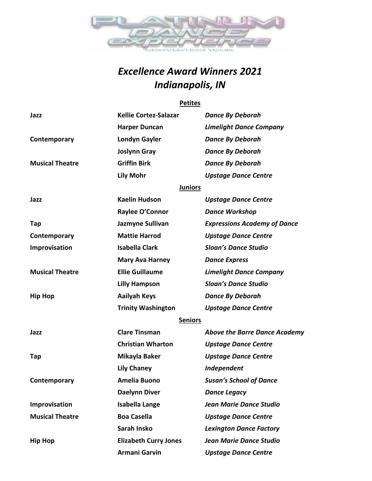

# *Excellence Award Winners 2021 Indianapolis, IN*

#### **Petites**

| Jazz                   | <b>Kellie Cortez-Salazar</b> | <b>Dance By Deborah</b>              |
|------------------------|------------------------------|--------------------------------------|
|                        | <b>Harper Duncan</b>         | <b>Limelight Dance Company</b>       |
| Contemporary           | Londyn Gayler                | <b>Dance By Deborah</b>              |
|                        | <b>Joslynn Gray</b>          | <b>Dance By Deborah</b>              |
| <b>Musical Theatre</b> | <b>Griffin Birk</b>          | <b>Dance By Deborah</b>              |
|                        | <b>Lily Mohr</b>             | <b>Upstage Dance Centre</b>          |
|                        | <b>Juniors</b>               |                                      |
| Jazz                   | <b>Kaelin Hudson</b>         | <b>Upstage Dance Centre</b>          |
|                        | Raylee O'Connor              | <b>Dance Workshop</b>                |
| Tap                    | Jazmyne Sullivan             | <b>Expressions Academy of Dance</b>  |
| Contemporary           | <b>Mattie Harrod</b>         | <b>Upstage Dance Centre</b>          |
| Improvisation          | <b>Isabella Clark</b>        | <b>Sloan's Dance Studio</b>          |
|                        | <b>Mary Ava Harney</b>       | <b>Dance Express</b>                 |
| <b>Musical Theatre</b> | <b>Ellie Guillaume</b>       | <b>Limelight Dance Company</b>       |
|                        | <b>Lilly Hampson</b>         | <b>Sloan's Dance Studio</b>          |
| <b>Hip Hop</b>         | <b>Aailyah Keys</b>          | <b>Dance By Deborah</b>              |
|                        | <b>Trinity Washington</b>    | <b>Upstage Dance Centre</b>          |
|                        | <b>Seniors</b>               |                                      |
| Jazz                   | <b>Clare Tinsman</b>         | <b>Above the Barre Dance Academy</b> |
|                        | <b>Christian Wharton</b>     | <b>Upstage Dance Centre</b>          |
| Tap                    | Mikayla Baker                | <b>Upstage Dance Centre</b>          |
|                        | <b>Lily Chaney</b>           | Independent                          |
| Contemporary           | <b>Amelia Buono</b>          | <b>Susan's School of Dance</b>       |
|                        | <b>Daelynn Diver</b>         | <b>Dance Legacy</b>                  |
| Improvisation          | <b>Isabella Lange</b>        | <b>Jean Marie Dance Studio</b>       |
| <b>Musical Theatre</b> | <b>Boa Casella</b>           | <b>Upstage Dance Centre</b>          |
|                        | Sarah Insko                  | <b>Lexington Dance Factory</b>       |
| <b>Hip Hop</b>         | <b>Elizabeth Curry Jones</b> | <b>Jean Marie Dance Studio</b>       |
|                        | <b>Armani Garvin</b>         | <b>Upstage Dance Centre</b>          |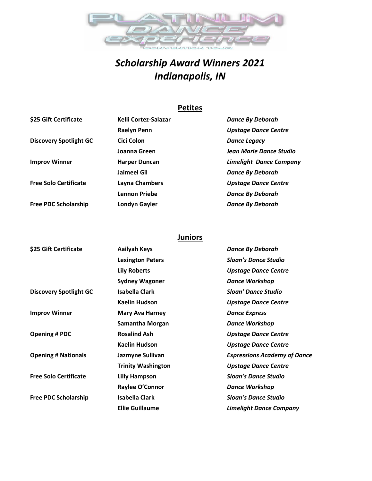

# *Scholarship Award Winners 2021 Indianapolis, IN*

## **Petites**

| \$25 Gift Certificate         | Kelli Cortez-Salazar | <b>Dance By Deborah</b>        |
|-------------------------------|----------------------|--------------------------------|
|                               | <b>Raelyn Penn</b>   | <b>Upstage Dance Centre</b>    |
| <b>Discovery Spotlight GC</b> | Cici Colon           | <b>Dance Legacy</b>            |
|                               | Joanna Green         | Jean Marie Dance Studio        |
| <b>Improv Winner</b>          | <b>Harper Duncan</b> | <b>Limelight Dance Company</b> |
|                               | Jaimeel Gil          | <b>Dance By Deborah</b>        |
| <b>Free Solo Certificate</b>  | Layna Chambers       | <b>Upstage Dance Centre</b>    |
|                               | <b>Lennon Priebe</b> | <b>Dance By Deborah</b>        |
| <b>Free PDC Scholarship</b>   | Londyn Gayler        | <b>Dance By Deborah</b>        |

## **Juniors**

| \$25 Gift Certificate         | <b>Aailyah Keys</b>       | <b>Dance By Deborah</b>             |
|-------------------------------|---------------------------|-------------------------------------|
|                               | <b>Lexington Peters</b>   | <b>Sloan's Dance Studio</b>         |
|                               | <b>Lily Roberts</b>       | <b>Upstage Dance Centre</b>         |
|                               | <b>Sydney Wagoner</b>     | <b>Dance Workshop</b>               |
| <b>Discovery Spotlight GC</b> | Isabella Clark            | <b>Sloan' Dance Studio</b>          |
|                               | <b>Kaelin Hudson</b>      | <b>Upstage Dance Centre</b>         |
| <b>Improv Winner</b>          | <b>Mary Ava Harney</b>    | <b>Dance Express</b>                |
|                               | <b>Samantha Morgan</b>    | <b>Dance Workshop</b>               |
| <b>Opening # PDC</b>          | <b>Rosalind Ash</b>       | <b>Upstage Dance Centre</b>         |
|                               | <b>Kaelin Hudson</b>      | <b>Upstage Dance Centre</b>         |
| <b>Opening # Nationals</b>    | Jazmyne Sullivan          | <b>Expressions Academy of Dance</b> |
|                               | <b>Trinity Washington</b> | <b>Upstage Dance Centre</b>         |
| <b>Free Solo Certificate</b>  | <b>Lilly Hampson</b>      | Sloan's Dance Studio                |
|                               | Raylee O'Connor           | <b>Dance Workshop</b>               |
| <b>Free PDC Scholarship</b>   | <b>Isabella Clark</b>     | <b>Sloan's Dance Studio</b>         |
|                               | <b>Ellie Guillaume</b>    | <b>Limelight Dance Company</b>      |